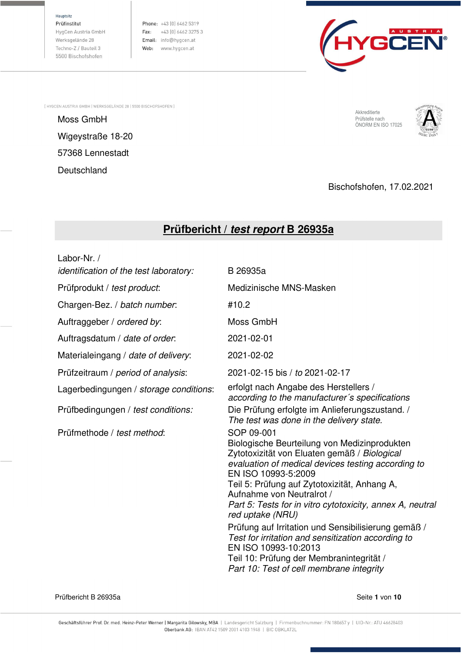Hauptsitz

Prüfinstitut HygCen Austria GmbH Werksgelände 28 Techno-Z / Bauteil 3 5500 Bischofshofen

Phone: +43 (0) 6462 5319 Fax:  $+43$  (0) 6462 3275 3 Email: info@hygcen.at Web: www.hygcen.at



[HYGCEN AUSTRIA GMBH | WERKSGELÄNDE 28 | 5500 BISCHOFSHOFEN ]

Moss GmbH<br>Moss GmbH Englische Schwarzen und der Schwarzen und der Schwarzen und der Schwarzen und der Prüfstelle nach Wigeystraße 18-20 57368 Lennestadt **Deutschland** 

Akkreditierte Prüfstelle nach<br>ÖNORM EN ISO 17025



Bischofshofen, 17.02.2021

# **Prüfbericht / test report B 26935a**

| Labor-Nr. /<br><i>identification of the test laboratory:</i> | B 26935a                                                                                                                                                                                                                                                                                                                                                                                                                                                                                                                                                                           |
|--------------------------------------------------------------|------------------------------------------------------------------------------------------------------------------------------------------------------------------------------------------------------------------------------------------------------------------------------------------------------------------------------------------------------------------------------------------------------------------------------------------------------------------------------------------------------------------------------------------------------------------------------------|
| Prüfprodukt / test product:                                  | Medizinische MNS-Masken                                                                                                                                                                                                                                                                                                                                                                                                                                                                                                                                                            |
| Chargen-Bez. / batch number.                                 | #10.2                                                                                                                                                                                                                                                                                                                                                                                                                                                                                                                                                                              |
| Auftraggeber / ordered by:                                   | Moss GmbH                                                                                                                                                                                                                                                                                                                                                                                                                                                                                                                                                                          |
| Auftragsdatum / date of order.                               | 2021-02-01                                                                                                                                                                                                                                                                                                                                                                                                                                                                                                                                                                         |
| Materialeingang / date of delivery:                          | 2021-02-02                                                                                                                                                                                                                                                                                                                                                                                                                                                                                                                                                                         |
| Prüfzeitraum / period of analysis:                           | 2021-02-15 bis / to 2021-02-17                                                                                                                                                                                                                                                                                                                                                                                                                                                                                                                                                     |
| Lagerbedingungen / storage conditions:                       | erfolgt nach Angabe des Herstellers /<br>according to the manufacturer's specifications                                                                                                                                                                                                                                                                                                                                                                                                                                                                                            |
| Prüfbedingungen / test conditions:                           | Die Prüfung erfolgte im Anlieferungszustand. /<br>The test was done in the delivery state.                                                                                                                                                                                                                                                                                                                                                                                                                                                                                         |
| Prüfmethode / test method:                                   | SOP 09-001<br>Biologische Beurteilung von Medizinprodukten<br>Zytotoxizität von Eluaten gemäß / Biological<br>evaluation of medical devices testing according to<br>EN ISO 10993-5:2009<br>Teil 5: Prüfung auf Zytotoxizität, Anhang A,<br>Aufnahme von Neutralrot /<br>Part 5: Tests for in vitro cytotoxicity, annex A, neutral<br>red uptake (NRU)<br>Prüfung auf Irritation und Sensibilisierung gemäß /<br>Test for irritation and sensitization according to<br>EN ISO 10993-10:2013<br>Teil 10: Prüfung der Membranintegrität /<br>Part 10: Test of cell membrane integrity |

Prüfbericht B 26935a Seite **1** von **10**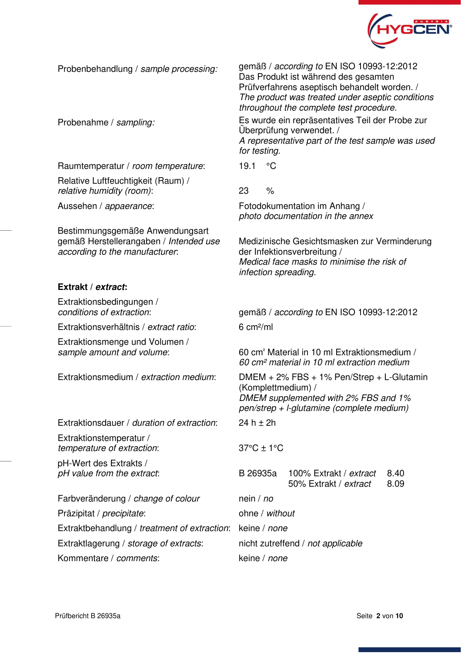

Raumtemperatur / room temperature: 19.1 °C

Relative Luftfeuchtigkeit (Raum) / relative humidity (room):  $23 \frac{1}{6}$ 

Bestimmungsgemäße Anwendungsart gemäß Herstellerangaben / Intended use according to the manufacturer:

#### **Extrakt / extract:**

Extraktionsbedingungen /

Extraktionsverhältnis / extract ratio: 6 cm²/ml

Extraktionsmenge und Volumen / sample amount and volume:

Extraktionsdauer / *duration of extraction*: 24 h  $\pm$  2h

Extraktionstemperatur / temperature of extraction: 37°C ± 1°C

pH-Wert des Extrakts /

Farbveränderung / change of colour nein / no Präzipitat / *precipitate*: ohne / without Extraktbehandlung / treatment of extraction: keine / none Extraktlagerung / storage of extracts: nicht zutreffend / not applicable

Kommentare / comments: keine / none

Probenbehandlung / sample processing: gemäß / according to EN ISO 10993-12:2012 Das Produkt ist während des gesamten Prüfverfahrens aseptisch behandelt worden. / The product was treated under aseptic conditions throughout the complete test procedure.

Probenahme / sampling: Es wurde ein repräsentatives Teil der Probe zur Überprüfung verwendet. / A representative part of the test sample was used for testing.

Aussehen / appaerance: Fotodokumentation im Anhang / photo documentation in the annex

> Medizinische Gesichtsmasken zur Verminderung der Infektionsverbreitung / Medical face masks to minimise the risk of infection spreading.

conditions of extraction: gemäß / according to EN ISO 10993-12:2012

60 cm<sup>2</sup> Material in 10 ml Extraktionsmedium / 60 cm² material in 10 ml extraction medium

Extraktionsmedium / *extraction medium*: DMEM + 2% FBS + 1% Pen/Strep + L-Glutamin (Komplettmedium) / DMEM supplemented with 2% FBS and 1% pen/strep + l-glutamine (complete medium)

pH value from the extract: B 26935a 100% Extrakt / extract 50% Extrakt / extract 8.40 8.09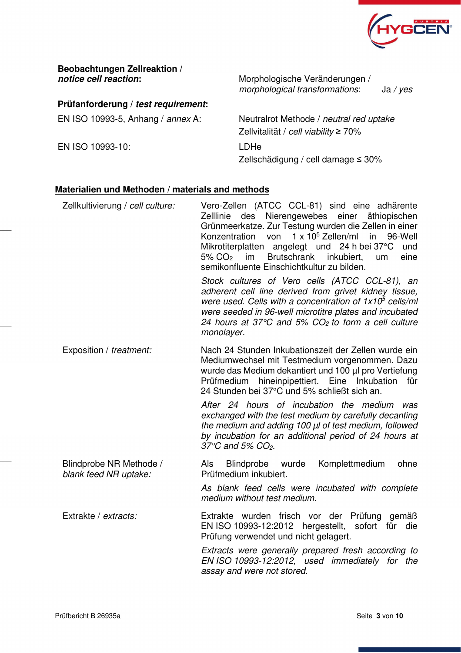

**Beobachtungen Zellreaktion /** 

**Prüfanforderung / test requirement:** 

EN ISO 10993-10: LDHe

**notice cell reaction:** Morphologische Veränderungen / morphological transformations: Ja / yes

EN ISO 10993-5, Anhang / annex A: Neutralrot Methode / neutral red uptake Zellvitalität / cell viability ≥ 70%

Zellschädigung / cell damage ≤ 30%

#### **Materialien und Methoden / materials and methods**

| Zellkultivierung / cell culture:                 | Vero-Zellen (ATCC CCL-81) sind eine adhärente<br>Zelllinie des Nierengewebes einer äthiopischen<br>Grünmeerkatze. Zur Testung wurden die Zellen in einer<br>$1 \times 10^5$ Zellen/ml<br>Konzentration<br>von<br>in<br>96-Well<br>Mikrotiterplatten angelegt und 24 h bei 37°C<br>und<br>Brutschrank<br>inkubiert,<br>eine<br>$5\%$ CO <sub>2</sub> im<br>um<br>semikonfluente Einschichtkultur zu bilden. |  |  |
|--------------------------------------------------|------------------------------------------------------------------------------------------------------------------------------------------------------------------------------------------------------------------------------------------------------------------------------------------------------------------------------------------------------------------------------------------------------------|--|--|
|                                                  | Stock cultures of Vero cells (ATCC CCL-81), an<br>adherent cell line derived from grivet kidney tissue,<br>were used. Cells with a concentration of $1x105$ cells/ml<br>were seeded in 96-well microtitre plates and incubated<br>24 hours at 37 $\degree$ C and 5% CO <sub>2</sub> to form a cell culture<br>monolayer.                                                                                   |  |  |
| Exposition / treatment:                          | Nach 24 Stunden Inkubationszeit der Zellen wurde ein<br>Mediumwechsel mit Testmedium vorgenommen. Dazu<br>wurde das Medium dekantiert und 100 µl pro Vertiefung<br>Prüfmedium hineinpipettiert. Eine Inkubation für<br>24 Stunden bei 37°C und 5% schließt sich an.                                                                                                                                        |  |  |
|                                                  | After 24 hours of incubation the medium<br>was<br>exchanged with the test medium by carefully decanting<br>the medium and adding 100 µl of test medium, followed<br>by incubation for an additional period of 24 hours at<br>37 $\degree$ C and 5% CO <sub>2</sub> .                                                                                                                                       |  |  |
| Blindprobe NR Methode /<br>blank feed NR uptake: | Blindprobe wurde Komplettmedium<br>ohne<br>Als<br>Prüfmedium inkubiert.                                                                                                                                                                                                                                                                                                                                    |  |  |
|                                                  | As blank feed cells were incubated with complete<br>medium without test medium.                                                                                                                                                                                                                                                                                                                            |  |  |
| Extrakte / extracts:                             | Extrakte wurden frisch vor der Prüfung gemäß<br>EN ISO 10993-12:2012 hergestellt, sofort für die<br>Prüfung verwendet und nicht gelagert.                                                                                                                                                                                                                                                                  |  |  |
|                                                  | Extracts were generally prepared fresh according to<br>EN ISO 10993-12:2012, used immediately for the<br>assay and were not stored.                                                                                                                                                                                                                                                                        |  |  |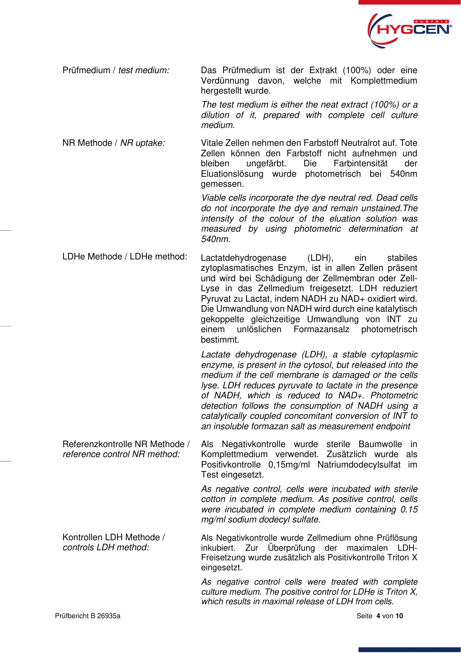

Prüfmedium / test medium: Das Prüfmedium ist der Extrakt (100%) oder eine Verdünnung davon, welche mit Komplettmedium hergestellt wurde.

> The test medium is either the neat extract (100%) or a dilution of it, prepared with complete cell culture medium.

NR Methode / NR uptake: Vitale Zellen nehmen den Farbstoff Neutralrot auf. Tote Zellen können den Farbstoff nicht aufnehmen und bleiben ungefärbt. Die Farbintensität der Eluationslösung wurde photometrisch bei 540nm gemessen.

> Viable cells incorporate the dye neutral red. Dead cells do not incorporate the dye and remain unstained.The intensity of the colour of the eluation solution was measured by using photometric determination at 540nm.

LDHe Methode / LDHe method: Lactatdehydrogenase (LDH), ein stabiles zytoplasmatisches Enzym, ist in allen Zellen präsent und wird bei Schädigung der Zellmembran oder Zell-Lyse in das Zellmedium freigesetzt. LDH reduziert Pyruvat zu Lactat, indem NADH zu NAD+ oxidiert wird. Die Umwandlung von NADH wird durch eine katalytisch gekoppelte gleichzeitige Umwandlung von INT zu einem unlöslichen Formazansalz photometrisch bestimmt.

> Lactate dehydrogenase (LDH), a stable cytoplasmic enzyme, is present in the cytosol, but released into the medium if the cell membrane is damaged or the cells lyse. LDH reduces pyruvate to lactate in the presence of NADH, which is reduced to NAD+. Photometric detection follows the consumption of NADH using a catalytically coupled concomitant conversion of INT to an insoluble formazan salt as measurement endpoint

Referenzkontrolle NR Methode / reference control NR method: Als Negativkontrolle wurde sterile Baumwolle in Komplettmedium verwendet. Zusätzlich wurde als Positivkontrolle 0,15mg/ml Natriumdodecylsulfat im Test eingesetzt.

> As negative control, cells were incubated with sterile cotton in complete medium. As positive control, cells were incubated in complete medium containing 0.15 mg/ml sodium dodecyl sulfate.

Kontrollen LDH Methode / controls LDH method: Als Negativkontrolle wurde Zellmedium ohne Prüflösung inkubiert. Zur Überprüfung der maximalen LDH-Freisetzung wurde zusätzlich als Positivkontrolle Triton X eingesetzt.

> As negative control cells were treated with complete culture medium. The positive control for LDHe is Triton X, which results in maximal release of LDH from cells.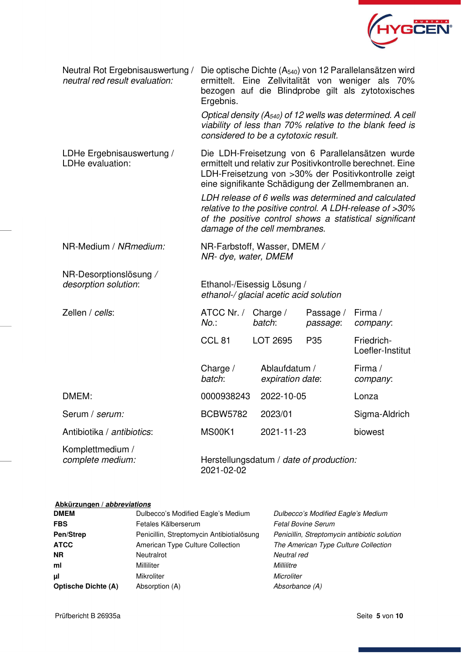

| Neutral Rot Ergebnisauswertung /<br>neutral red result evaluation: | Die optische Dichte (A <sub>540</sub> ) von 12 Parallelansätzen wird<br>ermittelt. Eine Zellvitalität von weniger als 70%<br>bezogen auf die Blindprobe gilt als zytotoxisches<br>Ergebnis.                                                                                                                                                                                                                                                |                                   |                       |                                |  |
|--------------------------------------------------------------------|--------------------------------------------------------------------------------------------------------------------------------------------------------------------------------------------------------------------------------------------------------------------------------------------------------------------------------------------------------------------------------------------------------------------------------------------|-----------------------------------|-----------------------|--------------------------------|--|
|                                                                    | Optical density $(A_{540})$ of 12 wells was determined. A cell<br>viability of less than 70% relative to the blank feed is<br>considered to be a cytotoxic result.                                                                                                                                                                                                                                                                         |                                   |                       |                                |  |
| LDHe Ergebnisauswertung /<br>LDHe evaluation:                      | Die LDH-Freisetzung von 6 Parallelansätzen wurde<br>ermittelt und relativ zur Positivkontrolle berechnet. Eine<br>LDH-Freisetzung von >30% der Positivkontrolle zeigt<br>eine signifikante Schädigung der Zellmembranen an.<br>LDH release of 6 wells was determined and calculated<br>relative to the positive control. A LDH-release of >30%<br>of the positive control shows a statistical significant<br>damage of the cell membranes. |                                   |                       |                                |  |
| NR-Medium / NRmedium:                                              | NR-Farbstoff, Wasser, DMEM /<br>NR- dye, water, DMEM                                                                                                                                                                                                                                                                                                                                                                                       |                                   |                       |                                |  |
| NR-Desorptionslösung /<br>desorption solution:                     | Ethanol-/Eisessig Lösung /<br>ethanol-/ glacial acetic acid solution                                                                                                                                                                                                                                                                                                                                                                       |                                   |                       |                                |  |
| Zellen / cells:                                                    | ATCC Nr. /<br>$No.$ :                                                                                                                                                                                                                                                                                                                                                                                                                      | Charge $/$<br>batch:              | Passage /<br>passage: | Firma /<br>company:            |  |
|                                                                    | CCL <sub>81</sub>                                                                                                                                                                                                                                                                                                                                                                                                                          | LOT 2695                          | P <sub>35</sub>       | Friedrich-<br>Loefler-Institut |  |
|                                                                    | Charge $/$<br>batch:                                                                                                                                                                                                                                                                                                                                                                                                                       | Ablaufdatum /<br>expiration date: |                       | Firma /<br>company:            |  |
| DMEM:                                                              | 0000938243                                                                                                                                                                                                                                                                                                                                                                                                                                 | 2022-10-05                        |                       | Lonza                          |  |
| Serum / serum:                                                     | <b>BCBW5782</b>                                                                                                                                                                                                                                                                                                                                                                                                                            | 2023/01                           |                       | Sigma-Aldrich                  |  |
| Antibiotika / antibiotics:                                         | <b>MS00K1</b>                                                                                                                                                                                                                                                                                                                                                                                                                              | 2021-11-23                        |                       | biowest                        |  |
| Komplettmedium /<br>complete medium:                               | Herstellungsdatum / date of production:<br>2021-02-02                                                                                                                                                                                                                                                                                                                                                                                      |                                   |                       |                                |  |

#### **Abkürzungen / abbreviations**

| <b>DMEM</b>                | Dulbecco's Modified Eagle's Medium        | Dulbecco's Modified Eagle's Medium           |
|----------------------------|-------------------------------------------|----------------------------------------------|
| <b>FBS</b>                 | Fetales Kälberserum                       | <b>Fetal Bovine Serum</b>                    |
| Pen/Strep                  | Penicillin, Streptomycin Antibiotialösung | Penicillin, Streptomycin antibiotic solution |
| <b>ATCC</b>                | American Type Culture Collection          | The American Type Culture Collection         |
| <b>NR</b>                  | Neutralrot                                | Neutral red                                  |
| ml                         | Milliliter                                | Millilitre                                   |
| μl                         | Mikroliter                                | Microliter                                   |
| <b>Optische Dichte (A)</b> | Absorption (A)                            | Absorbance (A)                               |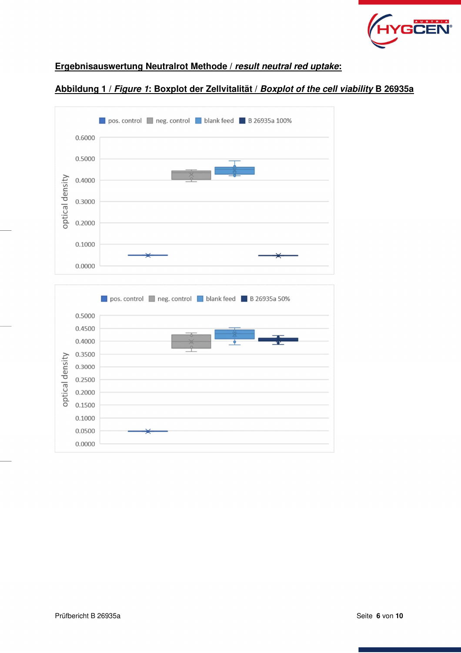

## **Ergebnisauswertung Neutralrot Methode / result neutral red uptake:**

## **Abbildung 1 / Figure 1: Boxplot der Zellvitalität / Boxplot of the cell viability B 26935a**



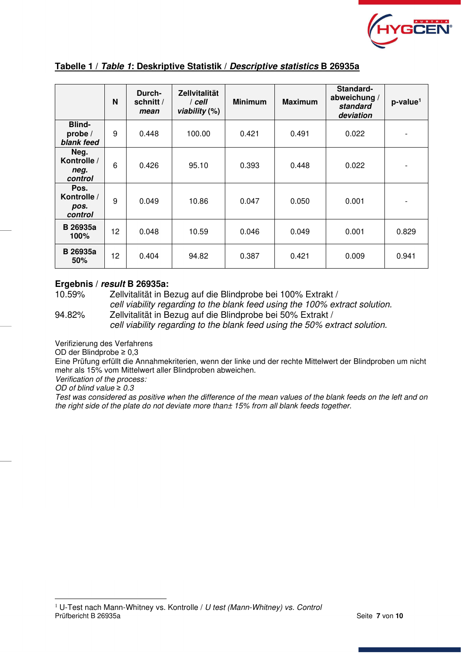

|                                        | N  | Durch-<br>schnitt /<br>mean | <b>Zellvitalität</b><br>$/$ cell<br>viability $(\%)$ | <b>Minimum</b> | <b>Maximum</b> | Standard-<br>abweichung /<br>standard<br>deviation | $p$ -value <sup>1</sup> |
|----------------------------------------|----|-----------------------------|------------------------------------------------------|----------------|----------------|----------------------------------------------------|-------------------------|
| <b>Blind-</b><br>probe /<br>blank feed | 9  | 0.448                       | 100.00                                               | 0.421          | 0.491          | 0.022                                              |                         |
| Neg.<br>Kontrolle /<br>neg.<br>control | 6  | 0.426                       | 95.10                                                | 0.393          | 0.448          | 0.022                                              |                         |
| Pos.<br>Kontrolle /<br>pos.<br>control | 9  | 0.049                       | 10.86                                                | 0.047          | 0.050          | 0.001                                              |                         |
| <b>B</b> 26935a<br>100%                | 12 | 0.048                       | 10.59                                                | 0.046          | 0.049          | 0.001                                              | 0.829                   |
| <b>B</b> 26935a<br>50%                 | 12 | 0.404                       | 94.82                                                | 0.387          | 0.421          | 0.009                                              | 0.941                   |

#### **Tabelle 1 / Table 1: Deskriptive Statistik / Descriptive statistics B 26935a**

#### **Ergebnis / result B 26935a:**

10.59% Zellvitalität in Bezug auf die Blindprobe bei 100% Extrakt /

cell viability regarding to the blank feed using the 100% extract solution. 94.82% Zellvitalität in Bezug auf die Blindprobe bei 50% Extrakt / cell viability regarding to the blank feed using the 50% extract solution.

Verifizierung des Verfahrens

OD der Blindprobe ≥ 0,3

Eine Prüfung erfüllt die Annahmekriterien, wenn der linke und der rechte Mittelwert der Blindproben um nicht mehr als 15% vom Mittelwert aller Blindproben abweichen.

Verification of the process:

OD of blind value *≥* 0.3

Test was considered as positive when the difference of the mean values of the blank feeds on the left and on the right side of the plate do not deviate more than± 15% from all blank feeds together.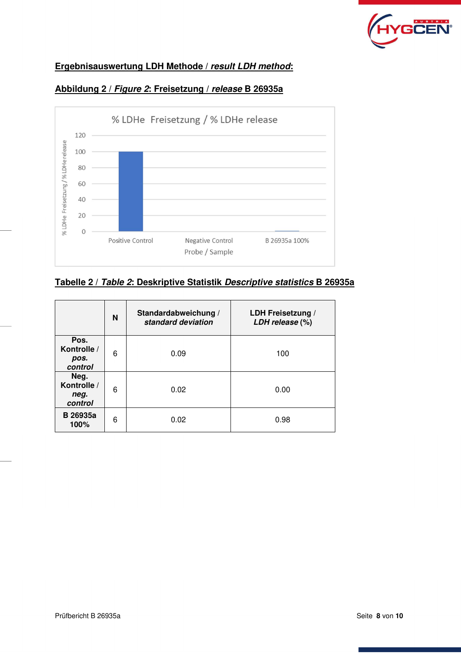

# **Ergebnisauswertung LDH Methode / result LDH method:**



# **Abbildung 2 / Figure 2: Freisetzung / release B 26935a**

## **Tabelle 2 / Table 2: Deskriptive Statistik Descriptive statistics B 26935a**

|                                        | N | Standardabweichung /<br>standard deviation | LDH Freisetzung /<br>LDH release (%) |
|----------------------------------------|---|--------------------------------------------|--------------------------------------|
| Pos.<br>Kontrolle /<br>pos.<br>control | 6 | 0.09                                       | 100                                  |
| Neg.<br>Kontrolle /<br>neg.<br>control | 6 | 0.02                                       | 0.00                                 |
| <b>B</b> 26935a<br>100%                | 6 | 0.02                                       | 0.98                                 |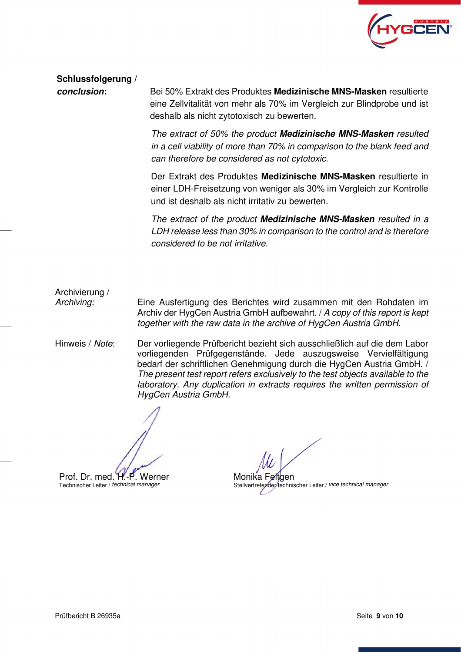

**Schlussfolgerung /** 

**conclusion:** Bei 50% Extrakt des Produktes **Medizinische MNS-Masken** resultierte eine Zellvitalität von mehr als 70% im Vergleich zur Blindprobe und ist deshalb als nicht zytotoxisch zu bewerten.

> The extract of 50% the product **Medizinische MNS-Masken** resulted in a cell viability of more than 70% in comparison to the blank feed and can therefore be considered as not cytotoxic.

> Der Extrakt des Produktes **Medizinische MNS-Masken** resultierte in einer LDH-Freisetzung von weniger als 30% im Vergleich zur Kontrolle und ist deshalb als nicht irritativ zu bewerten.

> The extract of the product **Medizinische MNS-Masken** resulted in a LDH release less than 30% in comparison to the control and is therefore considered to be not irritative.

Archivierung /

Archiving: Eine Ausfertigung des Berichtes wird zusammen mit den Rohdaten im Archiv der HygCen Austria GmbH aufbewahrt. / A copy of this report is kept together with the raw data in the archive of HygCen Austria GmbH.

Hinweis / Note: Der vorliegende Prüfbericht bezieht sich ausschließlich auf die dem Labor vorliegenden Prüfgegenstände. Jede auszugsweise Vervielfältigung bedarf der schriftlichen Genehmigung durch die HygCen Austria GmbH. / The present test report refers exclusively to the test objects available to the laboratory. Any duplication in extracts requires the written permission of HygCen Austria GmbH.

Prof. Dr. med. H.-P. Werner

Technischer Leiter / technical manager

Monika Feltoen Stellvertretender technischer Leiter / vice technical manager